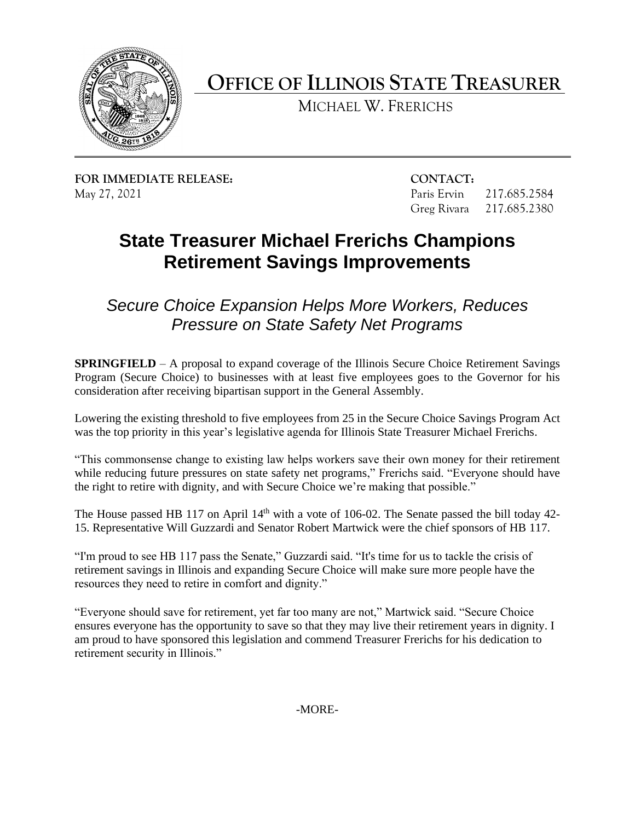

## **OFFICE OF ILLINOIS STATE TREASURER**

MICHAEL W. FRERICHS

**FOR IMMEDIATE RELEASE: CONTACT:** 

217.685.2584 217.685.2380 May 27, 2021 Paris Ervin 217.685.2584 Greg Rivara 217.685.2380

## **State Treasurer Michael Frerichs Champions Retirement Savings Improvements**

*Secure Choice Expansion Helps More Workers, Reduces Pressure on State Safety Net Programs* 

 **SPRINGFIELD** – A proposal to expand coverage of the Illinois Secure Choice Retirement Savings Program (Secure Choice) to businesses with at least five employees goes to the Governor for his consideration after receiving bipartisan support in the General Assembly.

 Lowering the existing threshold to five employees from 25 in the Secure Choice Savings Program Act was the top priority in this year's legislative agenda for Illinois State Treasurer Michael Frerichs.

 "This commonsense change to existing law helps workers save their own money for their retirement while reducing future pressures on state safety net programs," Frerichs said. "Everyone should have the right to retire with dignity, and with Secure Choice we're making that possible."

The House passed HB 117 on April  $14<sup>th</sup>$  with a vote of 106-02. The Senate passed the bill today 42-15. Representative Will Guzzardi and Senator Robert Martwick were the chief sponsors of HB 117.

 retirement savings in Illinois and expanding Secure Choice will make sure more people have the "I'm proud to see HB 117 pass the Senate," Guzzardi said. "It's time for us to tackle the crisis of resources they need to retire in comfort and dignity."

 ensures everyone has the opportunity to save so that they may live their retirement years in dignity. I "Everyone should save for retirement, yet far too many are not," Martwick said. "Secure Choice am proud to have sponsored this legislation and commend Treasurer Frerichs for his dedication to retirement security in Illinois."

-MORE-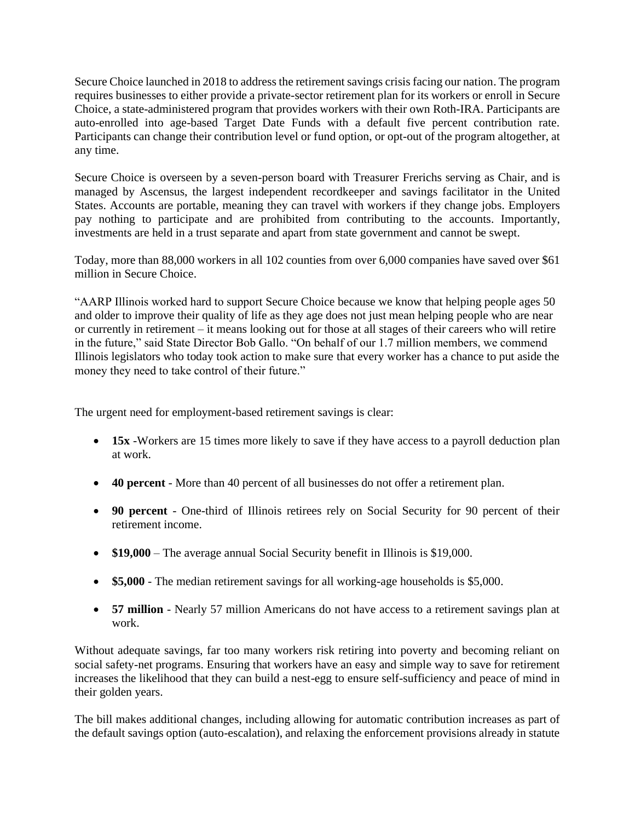Secure Choice launched in 2018 to address the retirement savings crisis facing our nation. The program requires businesses to either provide a private-sector retirement plan for its workers or enroll in Secure Choice, a state-administered program that provides workers with their own Roth-IRA. Participants are auto-enrolled into age-based Target Date Funds with a default five percent contribution rate. Participants can change their contribution level or fund option, or opt-out of the program altogether, at any time.

 Secure Choice is overseen by a seven-person board with Treasurer Frerichs serving as Chair, and is managed by Ascensus, the largest independent recordkeeper and savings facilitator in the United pay nothing to participate and are prohibited from contributing to the accounts. Importantly, investments are held in a trust separate and apart from state government and cannot be swept. States. Accounts are portable, meaning they can travel with workers if they change jobs. Employers

Today, more than 88,000 workers in all 102 counties from over 6,000 companies have saved over \$61 million in Secure Choice.

 and older to improve their quality of life as they age does not just mean helping people who are near "AARP Illinois worked hard to support Secure Choice because we know that helping people ages 50 or currently in retirement – it means looking out for those at all stages of their careers who will retire in the future," said State Director Bob Gallo. "On behalf of our 1.7 million members, we commend Illinois legislators who today took action to make sure that every worker has a chance to put aside the money they need to take control of their future."

The urgent need for employment-based retirement savings is clear:

- **15x** -Workers are 15 times more likely to save if they have access to a payroll deduction plan at work.
- **40 percent**  More than 40 percent of all businesses do not offer a retirement plan.
- • **90 percent**  One-third of Illinois retirees rely on Social Security for 90 percent of their retirement income.
- \$19,000 The average annual Social Security benefit in Illinois is \$19,000.
- **\$5,000**  The median retirement savings for all working-age households is \$5,000.
- • **57 million**  Nearly 57 million Americans do not have access to a retirement savings plan at work.

 Without adequate savings, far too many workers risk retiring into poverty and becoming reliant on social safety-net programs. Ensuring that workers have an easy and simple way to save for retirement increases the likelihood that they can build a nest-egg to ensure self-sufficiency and peace of mind in their golden years.

 The bill makes additional changes, including allowing for automatic contribution increases as part of the default savings option (auto-escalation), and relaxing the enforcement provisions already in statute